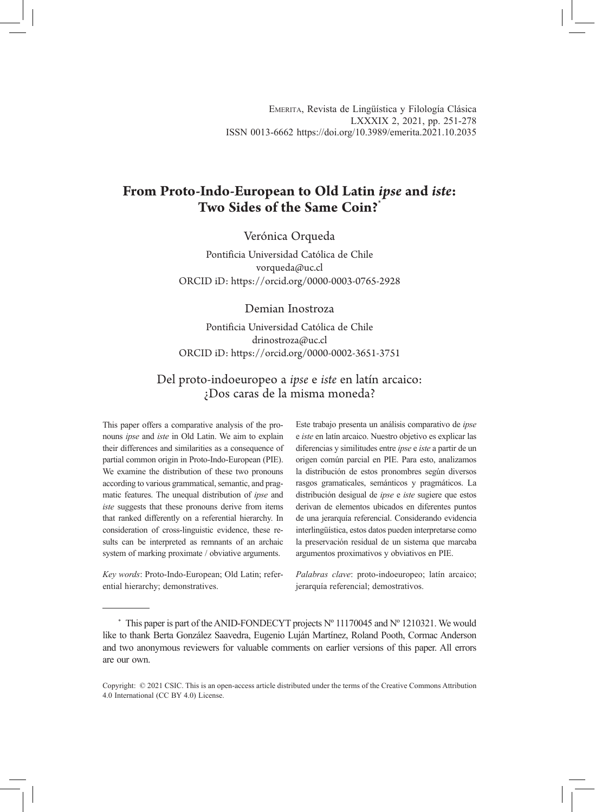# **From Proto-Indo-European to Old Latin** *ipse* **and** *iste***: Two Sides of the Same Coin?**\*

## Verónica Orqueda

Pontificia Universidad Católica de Chile vorqueda@uc.cl ORCID iD: https://orcid.org/0000-0003-0765-2928

#### Demian Inostroza

Pontificia Universidad Católica de Chile drinostroza@uc.cl ORCID iD: https://orcid.org/0000-0002-3651-3751

# Del proto-indoeuropeo a *ipse* e *iste* en latín arcaico: ¿Dos caras de la misma moneda?

This paper offers a comparative analysis of the pronouns *ipse* and *iste* in Old Latin. We aim to explain their differences and similarities as a consequence of partial common origin in Proto-Indo-European (PIE). We examine the distribution of these two pronouns according to various grammatical, semantic, and pragmatic features. The unequal distribution of *ipse* and *iste* suggests that these pronouns derive from items that ranked differently on a referential hierarchy. In consideration of cross-linguistic evidence, these results can be interpreted as remnants of an archaic system of marking proximate / obviative arguments.

*Key words*: Proto-Indo-European; Old Latin; referential hierarchy; demonstratives.

Este trabajo presenta un análisis comparativo de *ipse* e *iste* en latín arcaico. Nuestro objetivo es explicar las diferencias y similitudes entre *ipse* e *iste* a partir de un origen común parcial en PIE. Para esto, analizamos la distribución de estos pronombres según diversos rasgos gramaticales, semánticos y pragmáticos. La distribución desigual de *ipse* e *iste* sugiere que estos derivan de elementos ubicados en diferentes puntos de una jerarquía referencial. Considerando evidencia interlingüística, estos datos pueden interpretarse como la preservación residual de un sistema que marcaba argumentos proximativos y obviativos en PIE.

*Palabras clave*: proto-indoeuropeo; latín arcaico; jerarquía referencial; demostrativos.

 $*$  This paper is part of the ANID-FONDECYT projects N° 11170045 and N° 1210321. We would like to thank Berta González Saavedra, Eugenio Luján Martínez, Roland Pooth, Cormac Anderson and two anonymous reviewers for valuable comments on earlier versions of this paper. All errors are our own.

Copyright: © 2021 CSIC. This is an open-access article distributed under the terms of the Creative Commons Attribution 4.0 International (CC BY 4.0) License.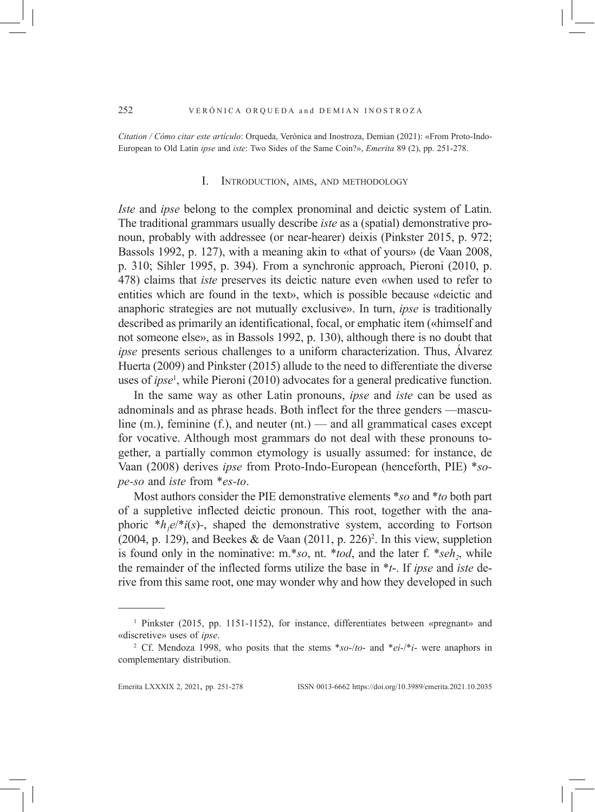*Citation / Cómo citar este artículo*: Orqueda, Verónica and Inostroza, Demian (2021): «From Proto-Indo-European to Old Latin *ipse* and *iste*: Two Sides of the Same Coin?», *Emerita* 89 (2), pp. 251-278.

#### I. Introduction, aims, and methodology

*Iste* and *ipse* belong to the complex pronominal and deictic system of Latin. The traditional grammars usually describe *iste* as a (spatial) demonstrative pronoun, probably with addressee (or near-hearer) deixis (Pinkster 2015, p. 972; Bassols 1992, p. 127), with a meaning akin to «that of yours» (de Vaan 2008, p. 310; Sihler 1995, p. 394). From a synchronic approach, Pieroni (2010, p. 478) claims that *iste* preserves its deictic nature even «when used to refer to entities which are found in the text», which is possible because «deictic and anaphoric strategies are not mutually exclusive». In turn, *ipse* is traditionally described as primarily an identificational, focal, or emphatic item («himself and not someone else», as in Bassols 1992, p. 130), although there is no doubt that *ipse* presents serious challenges to a uniform characterization. Thus, Álvarez Huerta (2009) and Pinkster (2015) allude to the need to differentiate the diverse uses of *ipse*<sup>1</sup> , while Pieroni (2010) advocates for a general predicative function.

In the same way as other Latin pronouns, *ipse* and *iste* can be used as adnominals and as phrase heads. Both inflect for the three genders —masculine (m.), feminine  $(f)$ , and neuter (nt.) — and all grammatical cases except for vocative. Although most grammars do not deal with these pronouns together, a partially common etymology is usually assumed: for instance, de Vaan (2008) derives *ipse* from Proto-Indo-European (henceforth, PIE) \**sope-so* and *iste* from \**es-to*.

Most authors consider the PIE demonstrative elements \**so* and \**to* both part of a suppletive inflected deictic pronoun. This root, together with the anaphoric  $*h_1e/*i(s)$ -, shaped the demonstrative system, according to Fortson  $(2004, p. 129)$ , and Beekes & de Vaan  $(2011, p. 226)^2$ . In this view, suppletion is found only in the nominative: m.\**so*, nt. \**tod*, and the later f. \**seh*<sub>2</sub>, while the remainder of the inflected forms utilize the base in \**t*-. If *ipse* and *iste* derive from this same root, one may wonder why and how they developed in such

<sup>1</sup> Pinkster (2015, pp. 1151-1152), for instance, differentiates between «pregnant» and «discretive» uses of *ipse*.

<sup>2</sup> Cf. Mendoza 1998, who posits that the stems \**so*-/*to*- and \**ei*-/\**i*- were anaphors in complementary distribution.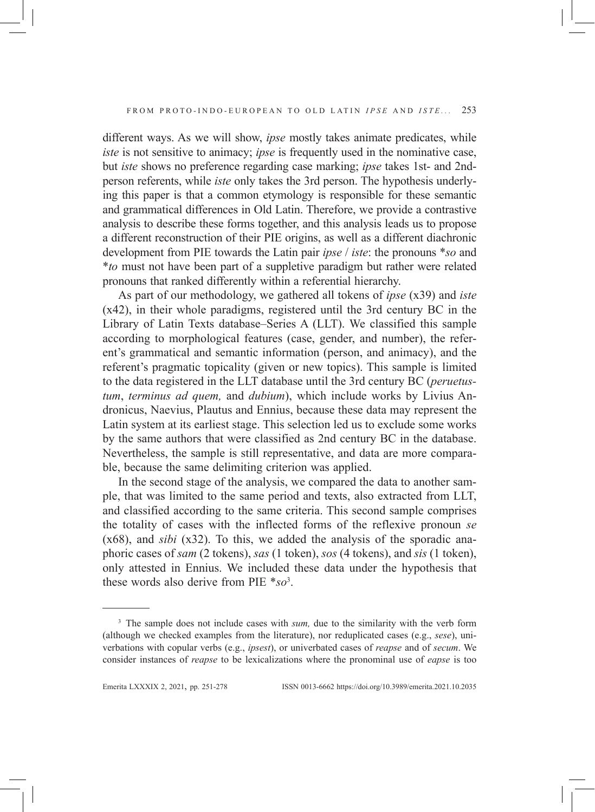different ways. As we will show, *ipse* mostly takes animate predicates, while *iste* is not sensitive to animacy; *ipse* is frequently used in the nominative case, but *iste* shows no preference regarding case marking; *ipse* takes 1st- and 2ndperson referents, while *iste* only takes the 3rd person. The hypothesis underlying this paper is that a common etymology is responsible for these semantic and grammatical differences in Old Latin. Therefore, we provide a contrastive analysis to describe these forms together, and this analysis leads us to propose a different reconstruction of their PIE origins, as well as a different diachronic development from PIE towards the Latin pair *ipse* / *iste*: the pronouns \**so* and \**to* must not have been part of a suppletive paradigm but rather were related pronouns that ranked differently within a referential hierarchy.

As part of our methodology, we gathered all tokens of *ipse* (x39) and *iste* (x42), in their whole paradigms, registered until the 3rd century BC in the Library of Latin Texts database–Series A (LLT). We classified this sample according to morphological features (case, gender, and number), the referent's grammatical and semantic information (person, and animacy), and the referent's pragmatic topicality (given or new topics). This sample is limited to the data registered in the LLT database until the 3rd century BC (*peruetustum*, *terminus ad quem,* and *dubium*), which include works by Livius Andronicus, Naevius, Plautus and Ennius, because these data may represent the Latin system at its earliest stage. This selection led us to exclude some works by the same authors that were classified as 2nd century BC in the database. Nevertheless, the sample is still representative, and data are more comparable, because the same delimiting criterion was applied.

In the second stage of the analysis, we compared the data to another sample, that was limited to the same period and texts, also extracted from LLT, and classified according to the same criteria. This second sample comprises the totality of cases with the inflected forms of the reflexive pronoun *se* (x68), and *sibi* (x32). To this, we added the analysis of the sporadic anaphoric cases of *sam* (2 tokens), *sas* (1 token), *sos* (4 tokens), and *sis* (1 token), only attested in Ennius. We included these data under the hypothesis that these words also derive from PIE \**so*<sup>3</sup> .

<sup>&</sup>lt;sup>3</sup> The sample does not include cases with *sum*, due to the similarity with the verb form (although we checked examples from the literature), nor reduplicated cases (e.g., *sese*), univerbations with copular verbs (e.g., *ipsest*), or univerbated cases of *reapse* and of *secum*. We consider instances of *reapse* to be lexicalizations where the pronominal use of *eapse* is too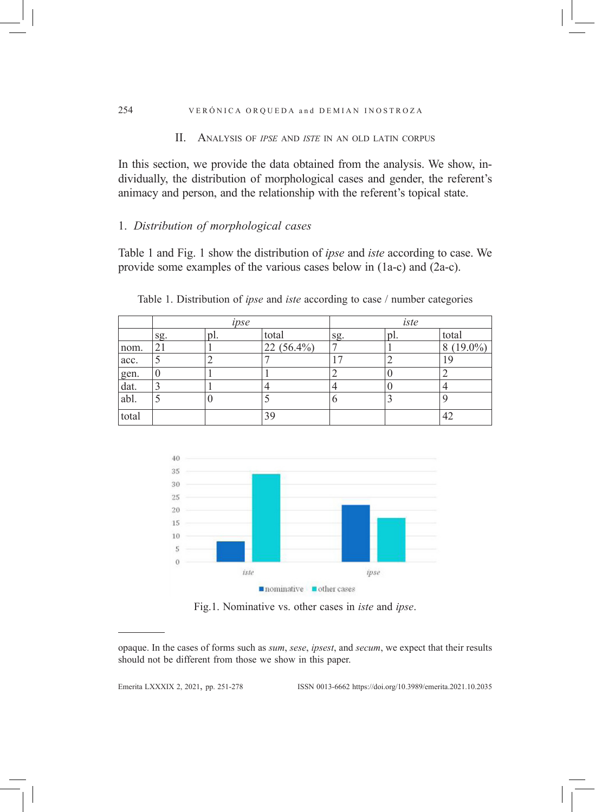#### 254 VERÓNICA ORQUEDA and DEMIAN INOSTROZA

## II. Analysis of *ipse* and *iste* in an old latin corpus

In this section, we provide the data obtained from the analysis. We show, individually, the distribution of morphological cases and gender, the referent's animacy and person, and the relationship with the referent's topical state.

# 1. *Distribution of morphological cases*

Table 1 and Fig. 1 show the distribution of *ipse* and *iste* according to case. We provide some examples of the various cases below in (1a-c) and (2a-c).

|              | ipse |     |              | iste |     |             |
|--------------|------|-----|--------------|------|-----|-------------|
|              | sg.  | pl. | total        | sg.  | pl. | total       |
| nom.         | 21   |     | $22(56.4\%)$ |      |     | $8(19.0\%)$ |
| acc.         |      | ∸   |              | ⇁    |     | 19          |
|              |      |     |              |      |     |             |
| gen.<br>dat. |      |     |              |      |     |             |
| abl.         |      | U   |              |      |     |             |
| total        |      |     | 39           |      |     | 42          |

Table 1. Distribution of *ipse* and *iste* according to case / number categories



Fig.1. Nominative vs. other cases in *iste* and *ipse*.

Emerita LXXXIx 2, 2021, pp. 251-278 ISSN 0013-6662 https://doi.org/10.3989/emerita.2021.10.2035

opaque. In the cases of forms such as *sum*, *sese*, *ipsest*, and *secum*, we expect that their results should not be different from those we show in this paper.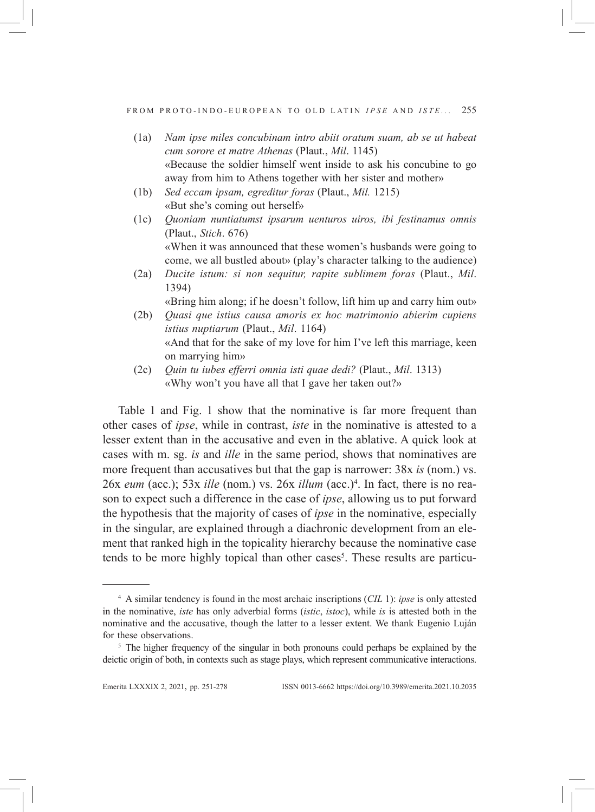- (1a) *Nam ipse miles concubinam intro abiit oratum suam, ab se ut habeat cum sorore et matre Athenas* (Plaut., *Mil*. 1145) «Because the soldier himself went inside to ask his concubine to go away from him to Athens together with her sister and mother»
- (1b) *Sed eccam ipsam, egreditur foras* (Plaut., *Mil.* 1215) «But she's coming out herself»
- (1c) *Quoniam nuntiatumst ipsarum uenturos uiros, ibi festinamus omnis*  (Plaut., *Stich*. 676) «When it was announced that these women's husbands were going to come, we all bustled about» (play's character talking to the audience)
- (2a) *Ducite istum: si non sequitur, rapite sublimem foras* (Plaut., *Mil*. 1394)
- «Bring him along; if he doesn't follow, lift him up and carry him out» (2b) *Quasi que istius causa amoris ex hoc matrimonio abierim cupiens*
- *istius nuptiarum* (Plaut., *Mil*. 1164) «And that for the sake of my love for him I've left this marriage, keen on marrying him»
- (2c) *Quin tu iubes efferri omnia isti quae dedi?* (Plaut., *Mil*. 1313) «Why won't you have all that I gave her taken out?»

Table 1 and Fig. 1 show that the nominative is far more frequent than other cases of *ipse*, while in contrast, *iste* in the nominative is attested to a lesser extent than in the accusative and even in the ablative. A quick look at cases with m. sg. *is* and *ille* in the same period, shows that nominatives are more frequent than accusatives but that the gap is narrower: 38x *is* (nom.) vs. 26x *eum* (acc.); 53x *ille* (nom.) vs. 26x *illum* (acc.)4 . In fact, there is no reason to expect such a difference in the case of *ipse*, allowing us to put forward the hypothesis that the majority of cases of *ipse* in the nominative, especially in the singular, are explained through a diachronic development from an element that ranked high in the topicality hierarchy because the nominative case tends to be more highly topical than other cases<sup>5</sup>. These results are particu-

<sup>4</sup> A similar tendency is found in the most archaic inscriptions (*CIL* 1): *ipse* is only attested in the nominative, *iste* has only adverbial forms (*istic*, *istoc*), while *is* is attested both in the nominative and the accusative, though the latter to a lesser extent. We thank Eugenio Luján for these observations.<br><sup>5</sup> The higher frequency of the singular in both pronouns could perhaps be explained by the

deictic origin of both, in contexts such as stage plays, which represent communicative interactions.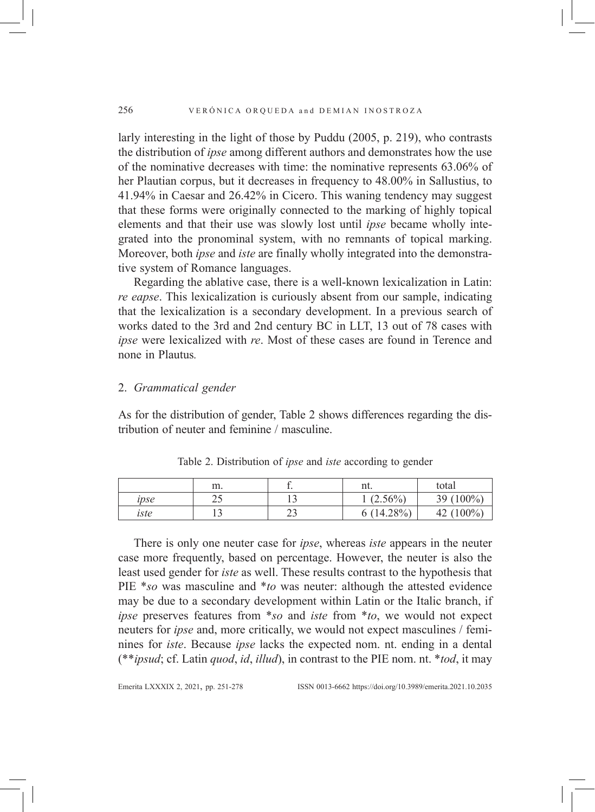larly interesting in the light of those by Puddu (2005, p. 219), who contrasts the distribution of *ipse* among different authors and demonstrates how the use of the nominative decreases with time: the nominative represents 63.06% of her Plautian corpus, but it decreases in frequency to 48.00% in Sallustius, to 41.94% in Caesar and 26.42% in Cicero. This waning tendency may suggest that these forms were originally connected to the marking of highly topical elements and that their use was slowly lost until *ipse* became wholly integrated into the pronominal system, with no remnants of topical marking. Moreover, both *ipse* and *iste* are finally wholly integrated into the demonstrative system of Romance languages.

Regarding the ablative case, there is a well-known lexicalization in Latin: *re eapse*. This lexicalization is curiously absent from our sample, indicating that the lexicalization is a secondary development. In a previous search of works dated to the 3rd and 2nd century BC in LLT, 13 out of 78 cases with *ipse* were lexicalized with *re*. Most of these cases are found in Terence and none in Plautus*.*

## 2. *Grammatical gender*

As for the distribution of gender, Table 2 shows differences regarding the distribution of neuter and feminine / masculine.

|      | m.       | ٠.             | nt.                | total           |
|------|----------|----------------|--------------------|-----------------|
| ipse | ົດ<br>ر_ |                | $(2.56\%)$         | 39 $(100\%)$    |
| iste |          | $\sim$<br>ت سے | $(14.28\%)$<br>6 ( | $(100\%)$<br>42 |

Table 2. Distribution of *ipse* and *iste* according to gender

There is only one neuter case for *ipse*, whereas *iste* appears in the neuter case more frequently, based on percentage. However, the neuter is also the least used gender for *iste* as well. These results contrast to the hypothesis that PIE \**so* was masculine and \**to* was neuter: although the attested evidence may be due to a secondary development within Latin or the Italic branch, if *ipse* preserves features from \**so* and *iste* from \**to*, we would not expect neuters for *ipse* and, more critically, we would not expect masculines / feminines for *iste*. Because *ipse* lacks the expected nom. nt. ending in a dental (\*\**ipsud*; cf. Latin *quod*, *id*, *illud*), in contrast to the PIE nom. nt. \**tod*, it may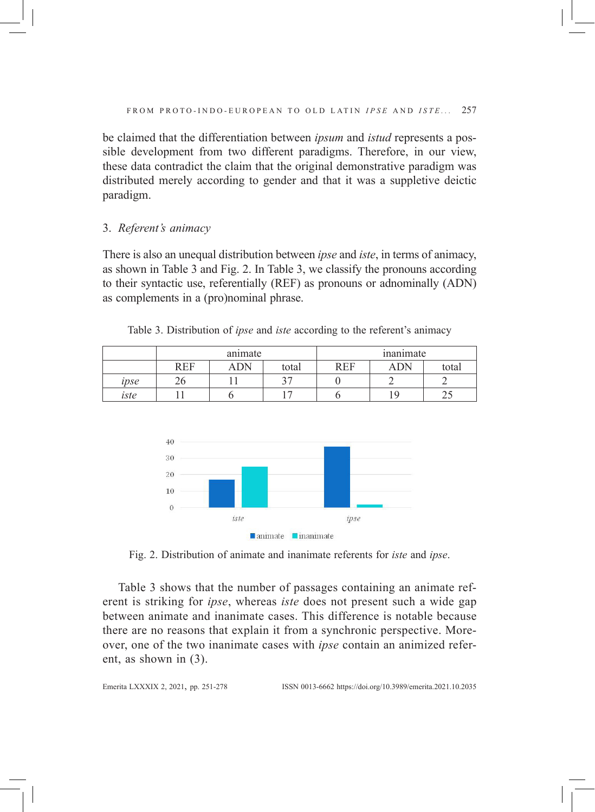be claimed that the differentiation between *ipsum* and *istud* represents a possible development from two different paradigms. Therefore, in our view, these data contradict the claim that the original demonstrative paradigm was distributed merely according to gender and that it was a suppletive deictic paradigm.

# 3. *Referent's animacy*

There is also an unequal distribution between *ipse* and *iste*, in terms of animacy, as shown in Table 3 and Fig. 2. In Table 3, we classify the pronouns according to their syntactic use, referentially (REF) as pronouns or adnominally (ADN) as complements in a (pro)nominal phrase.

|      | animate |            |         | inanimate          |            |       |
|------|---------|------------|---------|--------------------|------------|-------|
|      | REF     | <b>ADN</b> | total   | <b>REF</b><br>LVL. | <b>ADN</b> | total |
| ipse |         |            | $\lnot$ |                    |            |       |
| iste |         |            |         |                    | Q          |       |

Table 3. Distribution of *ipse* and *iste* according to the referent's animacy



Fig. 2. Distribution of animate and inanimate referents for *iste* and *ipse*.

Table 3 shows that the number of passages containing an animate referent is striking for *ipse*, whereas *iste* does not present such a wide gap between animate and inanimate cases. This difference is notable because there are no reasons that explain it from a synchronic perspective. Moreover, one of the two inanimate cases with *ipse* contain an animized referent, as shown in (3).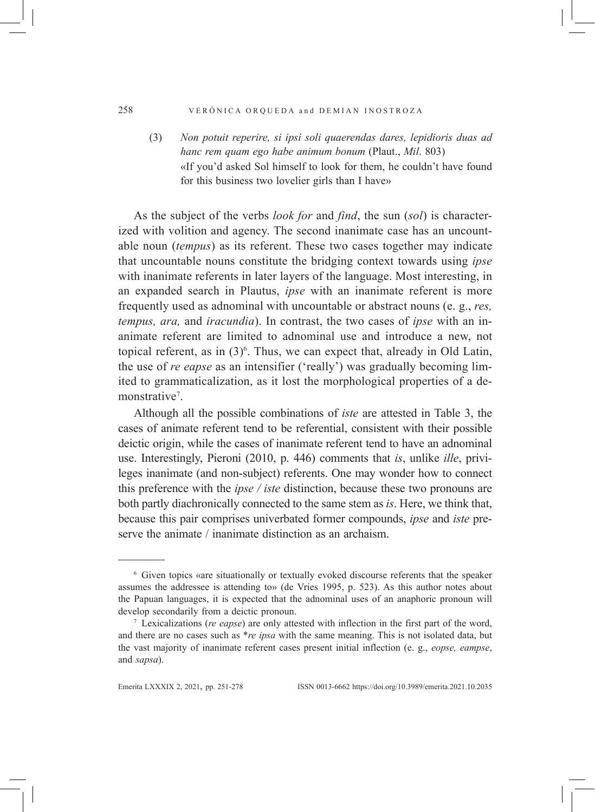#### 258 VERÓNICA ORQUEDA and DEMIAN INOSTROZA

(3) *Non potuit reperire, si ipsi soli quaerendas dares, lepidioris duas ad hanc rem quam ego habe animum bonum* (Plaut., *Mil*. 803) «If you'd asked Sol himself to look for them, he couldn't have found for this business two lovelier girls than I have»

As the subject of the verbs *look for* and *find*, the sun (*sol*) is characterized with volition and agency. The second inanimate case has an uncountable noun (*tempus*) as its referent. These two cases together may indicate that uncountable nouns constitute the bridging context towards using *ipse* with inanimate referents in later layers of the language. Most interesting, in an expanded search in Plautus, *ipse* with an inanimate referent is more frequently used as adnominal with uncountable or abstract nouns (e. g., *res, tempus, ara,* and *iracundia*). In contrast, the two cases of *ipse* with an inanimate referent are limited to adnominal use and introduce a new, not topical referent, as in  $(3)^6$ . Thus, we can expect that, already in Old Latin, the use of *re eapse* as an intensifier ('really') was gradually becoming limited to grammaticalization, as it lost the morphological properties of a demonstrative<sup>7</sup>.

Although all the possible combinations of *iste* are attested in Table 3, the cases of animate referent tend to be referential, consistent with their possible deictic origin, while the cases of inanimate referent tend to have an adnominal use. Interestingly, Pieroni (2010, p. 446) comments that *is*, unlike *ille*, privileges inanimate (and non-subject) referents. One may wonder how to connect this preference with the *ipse / iste* distinction, because these two pronouns are both partly diachronically connected to the same stem as *is*. Here, we think that, because this pair comprises univerbated former compounds, *ipse* and *iste* preserve the animate / inanimate distinction as an archaism.

<sup>6</sup> Given topics «are situationally or textually evoked discourse referents that the speaker assumes the addressee is attending to» (de Vries 1995, p. 523). As this author notes about the Papuan languages, it is expected that the adnominal uses of an anaphoric pronoun will develop secondarily from a deictic pronoun.

<sup>7</sup> Lexicalizations (*re eapse*) are only attested with inflection in the first part of the word, and there are no cases such as \**re ipsa* with the same meaning. This is not isolated data, but the vast majority of inanimate referent cases present initial inflection (e. g., *eopse, eampse*, and *sapsa*).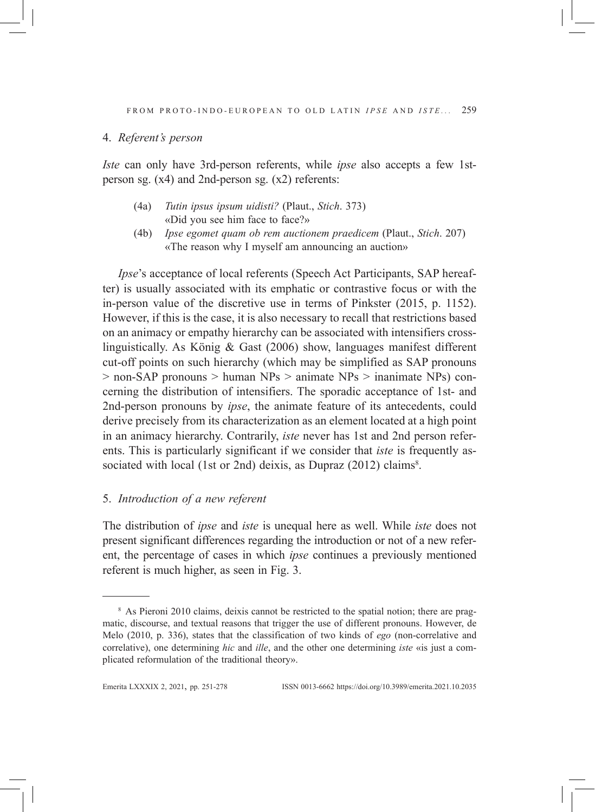### 4. *Referent's person*

*Iste* can only have 3rd-person referents, while *ipse* also accepts a few 1stperson sg. (x4) and 2nd-person sg. (x2) referents:

- (4a) *Tutin ipsus ipsum uidisti?* (Plaut., *Stich*. 373) «Did you see him face to face?»
- (4b) *Ipse egomet quam ob rem auctionem praedicem* (Plaut., *Stich*. 207) «The reason why I myself am announcing an auction»

*Ipse*'s acceptance of local referents (Speech Act Participants, SAP hereafter) is usually associated with its emphatic or contrastive focus or with the in-person value of the discretive use in terms of Pinkster (2015, p. 1152). However, if this is the case, it is also necessary to recall that restrictions based on an animacy or empathy hierarchy can be associated with intensifiers crosslinguistically. As König & Gast (2006) show, languages manifest different cut-off points on such hierarchy (which may be simplified as SAP pronouns > non-SAP pronouns > human NPs > animate NPs > inanimate NPs) concerning the distribution of intensifiers. The sporadic acceptance of 1st- and 2nd-person pronouns by *ipse*, the animate feature of its antecedents, could derive precisely from its characterization as an element located at a high point in an animacy hierarchy. Contrarily, *iste* never has 1st and 2nd person referents. This is particularly significant if we consider that *iste* is frequently associated with local (1st or 2nd) deixis, as Dupraz (2012) claims<sup>8</sup>.

# 5. *Introduction of a new referent*

The distribution of *ipse* and *iste* is unequal here as well. While *iste* does not present significant differences regarding the introduction or not of a new referent, the percentage of cases in which *ipse* continues a previously mentioned referent is much higher, as seen in Fig. 3.

<sup>8</sup> As Pieroni 2010 claims, deixis cannot be restricted to the spatial notion; there are pragmatic, discourse, and textual reasons that trigger the use of different pronouns. However, de Melo (2010, p. 336), states that the classification of two kinds of *ego* (non-correlative and correlative), one determining *hic* and *ille*, and the other one determining *iste* «is just a complicated reformulation of the traditional theory».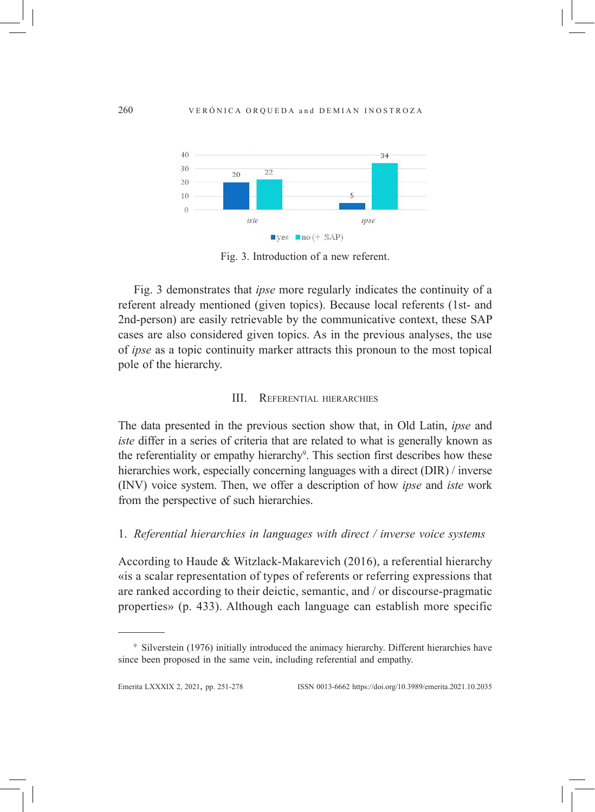

Fig. 3. Introduction of a new referent.

Fig. 3 demonstrates that *ipse* more regularly indicates the continuity of a referent already mentioned (given topics). Because local referents (1st- and 2nd-person) are easily retrievable by the communicative context, these SAP cases are also considered given topics. As in the previous analyses, the use of *ipse* as a topic continuity marker attracts this pronoun to the most topical pole of the hierarchy.

#### III. Referential hierarchies

The data presented in the previous section show that, in Old Latin, *ipse* and *iste* differ in a series of criteria that are related to what is generally known as the referentiality or empathy hierarchy<sup>9</sup>. This section first describes how these hierarchies work, especially concerning languages with a direct (DIR) / inverse (INV) voice system. Then, we offer a description of how *ipse* and *iste* work from the perspective of such hierarchies.

#### 1. *Referential hierarchies in languages with direct / inverse voice systems*

According to Haude & Witzlack-Makarevich (2016), a referential hierarchy «is a scalar representation of types of referents or referring expressions that are ranked according to their deictic, semantic, and / or discourse-pragmatic properties» (p. 433). Although each language can establish more specific

<sup>9</sup> Silverstein (1976) initially introduced the animacy hierarchy. Different hierarchies have since been proposed in the same vein, including referential and empathy.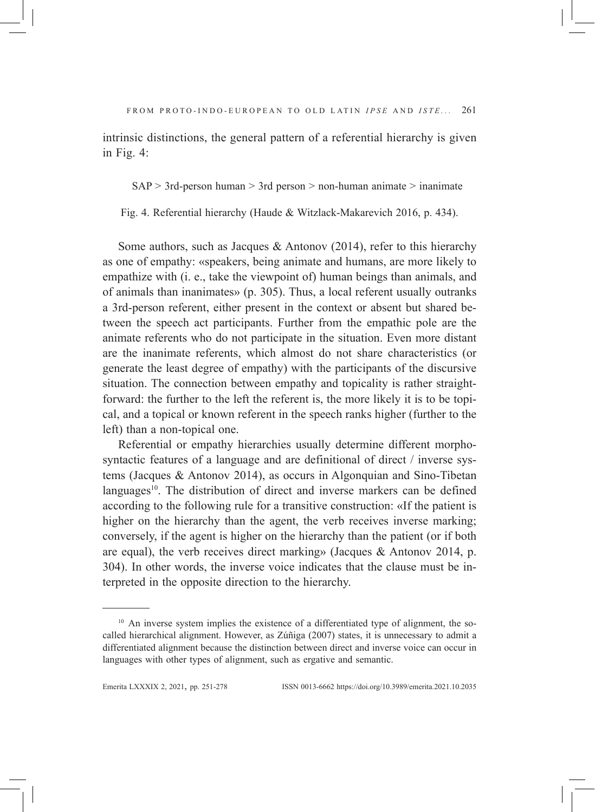intrinsic distinctions, the general pattern of a referential hierarchy is given in Fig. 4:

 $SAP > 3rd$ -person human  $> 3rd$  person  $>$  non-human animate  $>$  inanimate

Fig. 4. Referential hierarchy (Haude & Witzlack-Makarevich 2016, p. 434).

Some authors, such as Jacques & Antonov  $(2014)$ , refer to this hierarchy as one of empathy: «speakers, being animate and humans, are more likely to empathize with (i. e., take the viewpoint of) human beings than animals, and of animals than inanimates» (p. 305). Thus, a local referent usually outranks a 3rd-person referent, either present in the context or absent but shared between the speech act participants. Further from the empathic pole are the animate referents who do not participate in the situation. Even more distant are the inanimate referents, which almost do not share characteristics (or generate the least degree of empathy) with the participants of the discursive situation. The connection between empathy and topicality is rather straightforward: the further to the left the referent is, the more likely it is to be topical, and a topical or known referent in the speech ranks higher (further to the left) than a non-topical one.

Referential or empathy hierarchies usually determine different morphosyntactic features of a language and are definitional of direct / inverse systems (Jacques & Antonov 2014), as occurs in Algonquian and Sino-Tibetan languages<sup>10</sup>. The distribution of direct and inverse markers can be defined according to the following rule for a transitive construction: «If the patient is higher on the hierarchy than the agent, the verb receives inverse marking; conversely, if the agent is higher on the hierarchy than the patient (or if both are equal), the verb receives direct marking» (Jacques & Antonov 2014, p. 304). In other words, the inverse voice indicates that the clause must be interpreted in the opposite direction to the hierarchy.

<sup>&</sup>lt;sup>10</sup> An inverse system implies the existence of a differentiated type of alignment, the socalled hierarchical alignment. However, as Zúñiga (2007) states, it is unnecessary to admit a differentiated alignment because the distinction between direct and inverse voice can occur in languages with other types of alignment, such as ergative and semantic.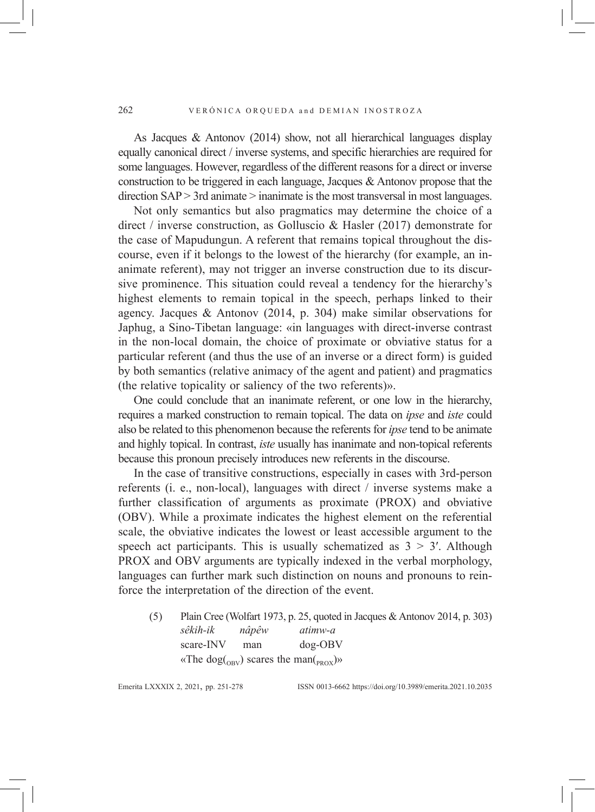As Jacques & Antonov (2014) show, not all hierarchical languages display equally canonical direct / inverse systems, and specific hierarchies are required for some languages. However, regardless of the different reasons for a direct or inverse construction to be triggered in each language, Jacques & Antonov propose that the direction SAP > 3rd animate > inanimate is the most transversal in most languages.

Not only semantics but also pragmatics may determine the choice of a direct / inverse construction, as Golluscio & Hasler (2017) demonstrate for the case of Mapudungun. A referent that remains topical throughout the discourse, even if it belongs to the lowest of the hierarchy (for example, an inanimate referent), may not trigger an inverse construction due to its discursive prominence. This situation could reveal a tendency for the hierarchy's highest elements to remain topical in the speech, perhaps linked to their agency. Jacques & Antonov (2014, p. 304) make similar observations for Japhug, a Sino-Tibetan language: «in languages with direct-inverse contrast in the non-local domain, the choice of proximate or obviative status for a particular referent (and thus the use of an inverse or a direct form) is guided by both semantics (relative animacy of the agent and patient) and pragmatics (the relative topicality or saliency of the two referents)».

One could conclude that an inanimate referent, or one low in the hierarchy, requires a marked construction to remain topical. The data on *ipse* and *iste* could also be related to this phenomenon because the referents for *ipse* tend to be animate and highly topical. In contrast, *iste* usually has inanimate and non-topical referents because this pronoun precisely introduces new referents in the discourse.

In the case of transitive constructions, especially in cases with 3rd-person referents (i. e., non-local), languages with direct / inverse systems make a further classification of arguments as proximate (PROX) and obviative (OBV). While a proximate indicates the highest element on the referential scale, the obviative indicates the lowest or least accessible argument to the speech act participants. This is usually schematized as  $3 > 3'$ . Although PROX and OBV arguments are typically indexed in the verbal morphology, languages can further mark such distinction on nouns and pronouns to reinforce the interpretation of the direction of the event.

(5) Plain Cree (Wolfart 1973, p. 25, quoted in Jacques & Antonov 2014, p. 303) *sêkih-ik nâpêw atimw-a* scare-INV man dog-OBV «The dog( $_{\text{ORV}}$ ) scares the man( $_{\text{PROX}}$ )»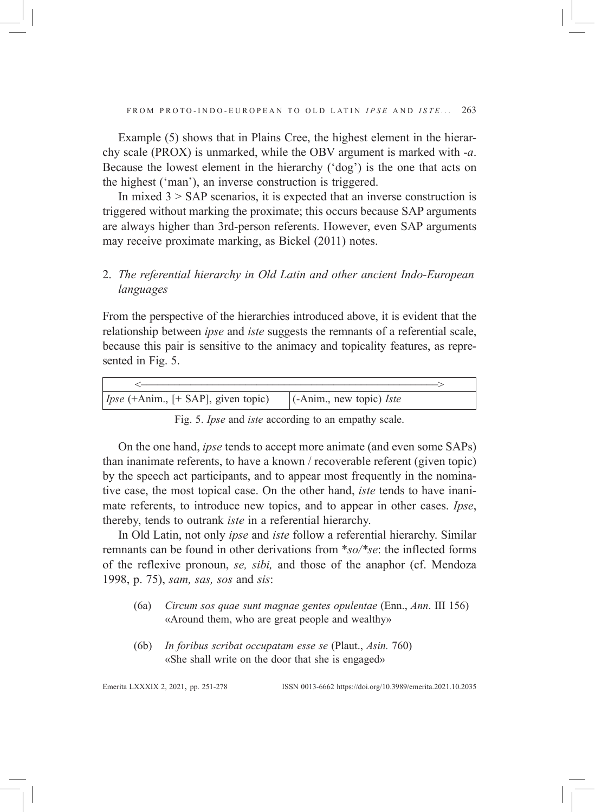Example (5) shows that in Plains Cree, the highest element in the hierarchy scale (PROX) is unmarked, while the OBV argument is marked with -*a*. Because the lowest element in the hierarchy ('dog') is the one that acts on the highest ('man'), an inverse construction is triggered.

In mixed  $3 >$  SAP scenarios, it is expected that an inverse construction is triggered without marking the proximate; this occurs because SAP arguments are always higher than 3rd-person referents. However, even SAP arguments may receive proximate marking, as Bickel (2011) notes.

# 2. *The referential hierarchy in Old Latin and other ancient Indo-European languages*

From the perspective of the hierarchies introduced above, it is evident that the relationship between *ipse* and *iste* suggests the remnants of a referential scale, because this pair is sensitive to the animacy and topicality features, as represented in Fig. 5.

| $\vert$ Ipse (+Anim., [+ SAP], given topic) | $\vert$ (-Anim., new topic) <i>Iste</i> |
|---------------------------------------------|-----------------------------------------|

Fig. 5. *Ipse* and *iste* according to an empathy scale.

On the one hand, *ipse* tends to accept more animate (and even some SAPs) than inanimate referents, to have a known / recoverable referent (given topic) by the speech act participants, and to appear most frequently in the nominative case, the most topical case. On the other hand, *iste* tends to have inanimate referents, to introduce new topics, and to appear in other cases. *Ipse*, thereby, tends to outrank *iste* in a referential hierarchy.

In Old Latin, not only *ipse* and *iste* follow a referential hierarchy. Similar remnants can be found in other derivations from \**so/\*se*: the inflected forms of the reflexive pronoun, *se, sibi,* and those of the anaphor (cf. Mendoza 1998, p. 75), *sam, sas, sos* and *sis*:

- (6a) *Circum sos quae sunt magnae gentes opulentae* (Enn., *Ann*. III 156) «Around them, who are great people and wealthy»
- (6b) *In foribus scribat occupatam esse se* (Plaut., *Asin.* 760) «She shall write on the door that she is engaged»

Emerita LXXXIx 2, 2021, pp. 251-278 ISSN 0013-6662 https://doi.org/10.3989/emerita.2021.10.2035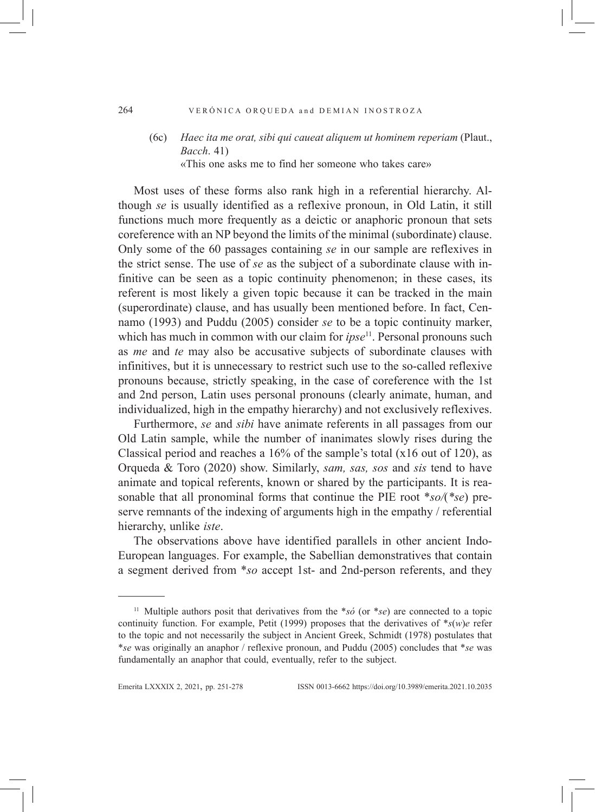#### 264 VERÓNICA ORQUEDA and DEMIAN INOSTROZA

## (6c) *Haec ita me orat, sibi qui caueat aliquem ut hominem reperiam* (Plaut., *Bacch*. 41) «This one asks me to find her someone who takes care»

Most uses of these forms also rank high in a referential hierarchy. Although *se* is usually identified as a reflexive pronoun, in Old Latin, it still functions much more frequently as a deictic or anaphoric pronoun that sets coreference with an NP beyond the limits of the minimal (subordinate) clause. Only some of the 60 passages containing *se* in our sample are reflexives in the strict sense. The use of *se* as the subject of a subordinate clause with infinitive can be seen as a topic continuity phenomenon; in these cases, its referent is most likely a given topic because it can be tracked in the main (superordinate) clause, and has usually been mentioned before. In fact, Cennamo (1993) and Puddu (2005) consider *se* to be a topic continuity marker, which has much in common with our claim for *ipse*<sup>11</sup>. Personal pronouns such as *me* and *te* may also be accusative subjects of subordinate clauses with infinitives, but it is unnecessary to restrict such use to the so-called reflexive pronouns because, strictly speaking, in the case of coreference with the 1st and 2nd person, Latin uses personal pronouns (clearly animate, human, and individualized, high in the empathy hierarchy) and not exclusively reflexives.

Furthermore, *se* and *sibi* have animate referents in all passages from our Old Latin sample, while the number of inanimates slowly rises during the Classical period and reaches a 16% of the sample's total (x16 out of 120), as Orqueda & Toro (2020) show. Similarly, *sam, sas, sos* and *sis* tend to have animate and topical referents, known or shared by the participants. It is reasonable that all pronominal forms that continue the PIE root \**so/*(*\*se*) preserve remnants of the indexing of arguments high in the empathy / referential hierarchy, unlike *iste*.

The observations above have identified parallels in other ancient Indo-European languages. For example, the Sabellian demonstratives that contain a segment derived from \**so* accept 1st- and 2nd-person referents, and they

<sup>11</sup> Multiple authors posit that derivatives from the \**só* (or \**se*) are connected to a topic continuity function. For example, Petit (1999) proposes that the derivatives of  $*_{S}(w)e$  refer to the topic and not necessarily the subject in Ancient Greek, Schmidt (1978) postulates that \**se* was originally an anaphor / reflexive pronoun, and Puddu (2005) concludes that \**se* was fundamentally an anaphor that could, eventually, refer to the subject.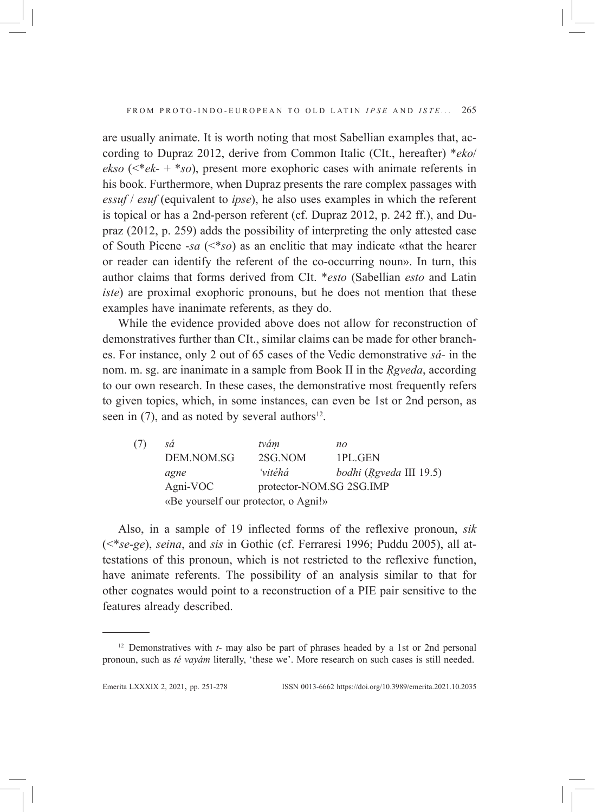are usually animate. It is worth noting that most Sabellian examples that, according to Dupraz 2012, derive from Common Italic (CIt., hereafter) \**eko*/ *ekso* (<\**ek-* + \**so*), present more exophoric cases with animate referents in his book. Furthermore, when Dupraz presents the rare complex passages with *essuf* / *esuf* (equivalent to *ipse*), he also uses examples in which the referent is topical or has a 2nd-person referent (cf. Dupraz 2012, p. 242 ff.), and Dupraz (2012, p. 259) adds the possibility of interpreting the only attested case of South Picene -*sa* (<\**so*) as an enclitic that may indicate «that the hearer or reader can identify the referent of the co-occurring noun». In turn, this author claims that forms derived from CIt. \**esto* (Sabellian *esto* and Latin *iste*) are proximal exophoric pronouns, but he does not mention that these examples have inanimate referents, as they do.

While the evidence provided above does not allow for reconstruction of demonstratives further than CIt., similar claims can be made for other branches. For instance, only 2 out of 65 cases of the Vedic demonstrative *sá-* in the nom. m. sg. are inanimate in a sample from Book II in the *Ṛgveda*, according to our own research. In these cases, the demonstrative most frequently refers to given topics, which, in some instances, can even be 1st or 2nd person, as seen in  $(7)$ , and as noted by several authors<sup>12</sup>.

| (7) | sá                                   | tvám                     | no                      |  |  |
|-----|--------------------------------------|--------------------------|-------------------------|--|--|
|     | DEM.NOM.SG                           | 2SG.NOM                  | 1PL.GEN                 |  |  |
|     | agne                                 | 'vitéhá                  | bodhi (Rgveda III 19.5) |  |  |
|     | Agni-VOC                             | protector-NOM.SG 2SG.IMP |                         |  |  |
|     | «Be yourself our protector, o Agni!» |                          |                         |  |  |

Also, in a sample of 19 inflected forms of the reflexive pronoun, *sik* (<\**se-ge*), *seina*, and *sis* in Gothic (cf. Ferraresi 1996; Puddu 2005), all attestations of this pronoun, which is not restricted to the reflexive function, have animate referents. The possibility of an analysis similar to that for other cognates would point to a reconstruction of a PIE pair sensitive to the features already described.

<sup>&</sup>lt;sup>12</sup> Demonstratives with *t*- may also be part of phrases headed by a 1st or 2nd personal pronoun, such as *té vayám* literally, 'these we'. More research on such cases is still needed.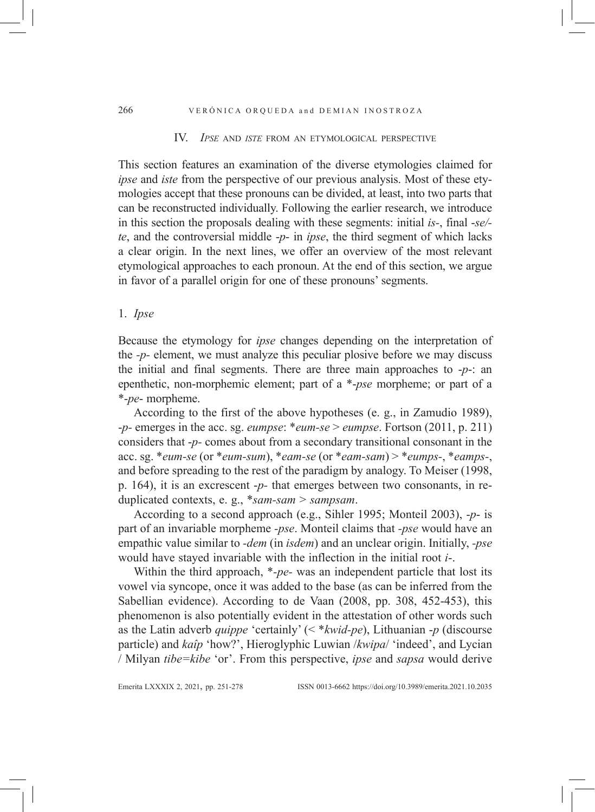#### IV. *Ipse* and *iste* from an etymological perspective

This section features an examination of the diverse etymologies claimed for *ipse* and *iste* from the perspective of our previous analysis. Most of these etymologies accept that these pronouns can be divided, at least, into two parts that can be reconstructed individually. Following the earlier research, we introduce in this section the proposals dealing with these segments: initial *is-*, final -*se/ te*, and the controversial middle -*p*- in *ipse*, the third segment of which lacks a clear origin. In the next lines, we offer an overview of the most relevant etymological approaches to each pronoun. At the end of this section, we argue in favor of a parallel origin for one of these pronouns' segments.

## 1. *Ipse*

Because the etymology for *ipse* changes depending on the interpretation of the *-p-* element, we must analyze this peculiar plosive before we may discuss the initial and final segments. There are three main approaches to -*p*-: an epenthetic, non-morphemic element; part of a \*-*pse* morpheme; or part of a \*-*pe*- morpheme.

According to the first of the above hypotheses (e. g., in Zamudio 1989), -*p-* emerges in the acc. sg. *eumpse*: \**eum-se* > *eumpse*. Fortson (2011, p. 211) considers that -*p-* comes about from a secondary transitional consonant in the acc. sg. \**eum-se* (or \**eum-sum*), \**eam-se* (or \**eam-sam*) > \**eumps-*, \**eamps-*, and before spreading to the rest of the paradigm by analogy. To Meiser (1998, p. 164), it is an excrescent -*p-* that emerges between two consonants, in reduplicated contexts, e. g., \**sam-sam* > *sampsam*.

According to a second approach (e.g., Sihler 1995; Monteil 2003), -*p*- is part of an invariable morpheme *-pse*. Monteil claims that *-pse* would have an empathic value similar to *-dem* (in *isdem*) and an unclear origin. Initially, *-pse* would have stayed invariable with the inflection in the initial root *i*-.

Within the third approach, \**-pe-* was an independent particle that lost its vowel via syncope, once it was added to the base (as can be inferred from the Sabellian evidence). According to de Vaan (2008, pp. 308, 452-453), this phenomenon is also potentially evident in the attestation of other words such as the Latin adverb *quippe* 'certainly' (< \**kwid-pe*), Lithuanian -*p* (discourse particle) and *kaîp* 'how?', Hieroglyphic Luwian /*kwipa*/ 'indeed', and Lycian / Milyan *tibe=kibe* 'or'. From this perspective, *ipse* and *sapsa* would derive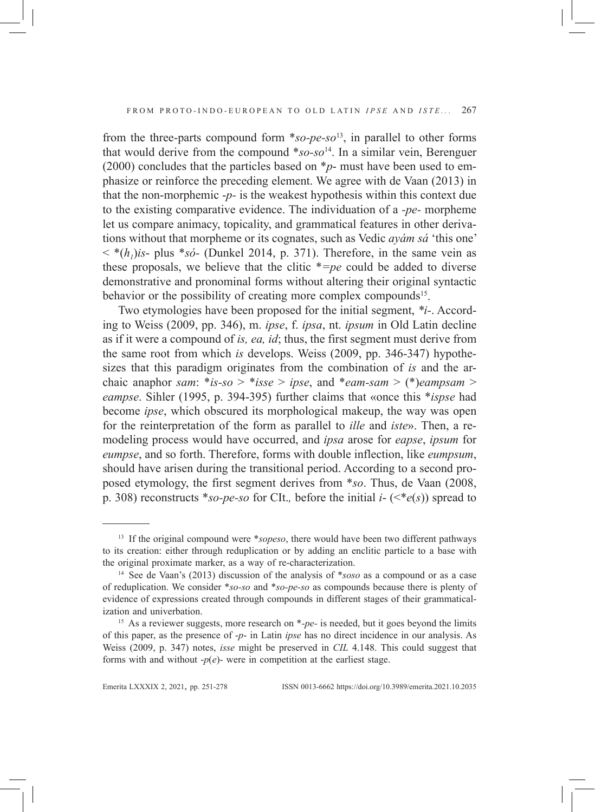from the three-parts compound form \**so-pe-so*13, in parallel to other forms that would derive from the compound \**so-so*14. In a similar vein, Berenguer (2000) concludes that the particles based on \**p*- must have been used to emphasize or reinforce the preceding element. We agree with de Vaan (2013) in that the non-morphemic -*p-* is the weakest hypothesis within this context due to the existing comparative evidence. The individuation of a *-pe-* morpheme let us compare animacy, topicality, and grammatical features in other derivations without that morpheme or its cognates, such as Vedic *ayám sá* 'this one'  $\langle \cdot \cdot \cdot \cdot \cdot \cdot \rangle$  =  $\langle$   $\cdot \cdot \rangle$  =  $\langle$   $\cdot \rangle$  =  $\langle$   $\cdot \rangle$  =  $\langle \cdot \rangle$  =  $\langle \cdot \rangle$  =  $\langle \cdot \rangle$  =  $\langle \cdot \rangle$  =  $\langle \cdot \rangle$  =  $\langle \cdot \rangle$  =  $\langle \cdot \rangle$  =  $\langle \cdot \rangle$  =  $\langle \cdot \rangle$  =  $\langle \cdot \rangle$  =  $\langle \cdot \rangle$  =  $\langle \cdot \rangle$  =  $\langle \cdot \rangle$  =  $\langle \cdot \rangle$  =  $\$ these proposals, we believe that the clitic \**=pe* could be added to diverse demonstrative and pronominal forms without altering their original syntactic behavior or the possibility of creating more complex compounds<sup>15</sup>.

Two etymologies have been proposed for the initial segment, *\*i-*. According to Weiss (2009, pp. 346), m. *ipse*, f. *ipsa*, nt. *ipsum* in Old Latin decline as if it were a compound of *is, ea, id*; thus, the first segment must derive from the same root from which *is* develops. Weiss (2009, pp. 346-347) hypothesizes that this paradigm originates from the combination of *is* and the archaic anaphor *sam*: \**is-so* > \**isse* > *ipse*, and \**eam-sam* > (\*)*eampsam* > *eampse*. Sihler (1995, p. 394-395) further claims that «once this \**ispse* had become *ipse*, which obscured its morphological makeup, the way was open for the reinterpretation of the form as parallel to *ille* and *iste*». Then, a remodeling process would have occurred, and *ipsa* arose for *eapse*, *ipsum* for *eumpse*, and so forth. Therefore, forms with double inflection, like *eumpsum*, should have arisen during the transitional period. According to a second proposed etymology, the first segment derives from \**so*. Thus, de Vaan (2008, p. 308) reconstructs \**so-pe-so* for CIt.*,* before the initial *i*- (<\**e*(*s*)) spread to

<sup>13</sup> If the original compound were \**sopeso*, there would have been two different pathways to its creation: either through reduplication or by adding an enclitic particle to a base with the original proximate marker, as a way of re-characterization. 14 See de Vaan's (2013) discussion of the analysis of \**soso* as a compound or as a case

of reduplication. We consider \**so-so* and \**so-pe-so* as compounds because there is plenty of evidence of expressions created through compounds in different stages of their grammaticalization and univerbation.

<sup>&</sup>lt;sup>15</sup> As a reviewer suggests, more research on \*-*pe*- is needed, but it goes beyond the limits of this paper, as the presence of -*p*- in Latin *ipse* has no direct incidence in our analysis. As Weiss (2009, p. 347) notes, *isse* might be preserved in *CIL* 4.148. This could suggest that forms with and without  $-p(e)$ - were in competition at the earliest stage.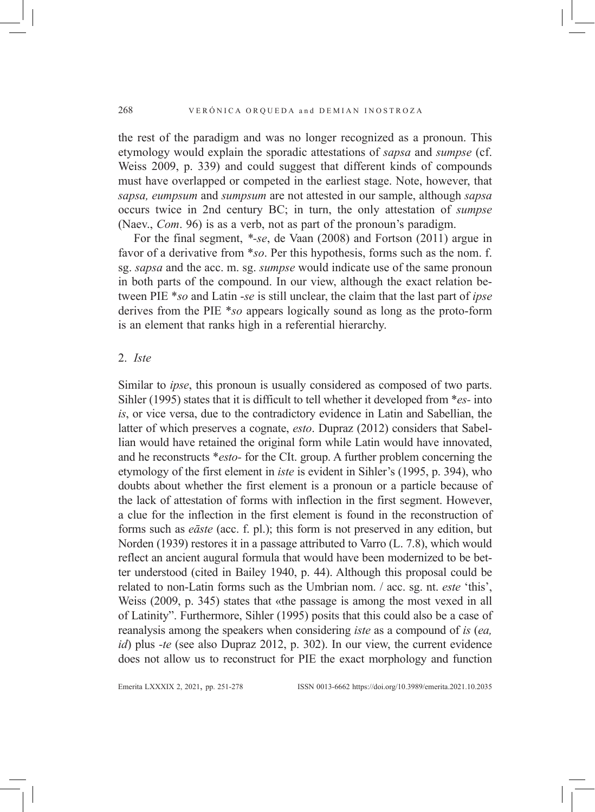the rest of the paradigm and was no longer recognized as a pronoun. This etymology would explain the sporadic attestations of *sapsa* and *sumpse* (cf. Weiss 2009, p. 339) and could suggest that different kinds of compounds must have overlapped or competed in the earliest stage. Note, however, that *sapsa, eumpsum* and *sumpsum* are not attested in our sample, although *sapsa* occurs twice in 2nd century BC; in turn, the only attestation of *sumpse* (Naev., *Com*. 96) is as a verb, not as part of the pronoun's paradigm.

For the final segment, *\*-se*, de Vaan (2008) and Fortson (2011) argue in favor of a derivative from \**so*. Per this hypothesis, forms such as the nom. f. sg. *sapsa* and the acc. m. sg. *sumpse* would indicate use of the same pronoun in both parts of the compound. In our view, although the exact relation between PIE \**so* and Latin -*se* is still unclear, the claim that the last part of *ipse* derives from the PIE \**so* appears logically sound as long as the proto-form is an element that ranks high in a referential hierarchy.

### 2. *Iste*

Similar to *ipse*, this pronoun is usually considered as composed of two parts. Sihler (1995) states that it is difficult to tell whether it developed from \**es-* into *is*, or vice versa, due to the contradictory evidence in Latin and Sabellian, the latter of which preserves a cognate, *esto*. Dupraz (2012) considers that Sabellian would have retained the original form while Latin would have innovated, and he reconstructs \**esto-* for the CIt. group. A further problem concerning the etymology of the first element in *iste* is evident in Sihler's (1995, p. 394), who doubts about whether the first element is a pronoun or a particle because of the lack of attestation of forms with inflection in the first segment. However, a clue for the inflection in the first element is found in the reconstruction of forms such as *eāste* (acc. f. pl.); this form is not preserved in any edition, but Norden (1939) restores it in a passage attributed to Varro (L. 7.8), which would reflect an ancient augural formula that would have been modernized to be better understood (cited in Bailey 1940, p. 44). Although this proposal could be related to non-Latin forms such as the Umbrian nom. / acc. sg. nt. *este* 'this', Weiss (2009, p. 345) states that «the passage is among the most vexed in all of Latinity". Furthermore, Sihler (1995) posits that this could also be a case of reanalysis among the speakers when considering *iste* as a compound of *is* (*ea, id*) plus *-te* (see also Dupraz 2012, p. 302). In our view, the current evidence does not allow us to reconstruct for PIE the exact morphology and function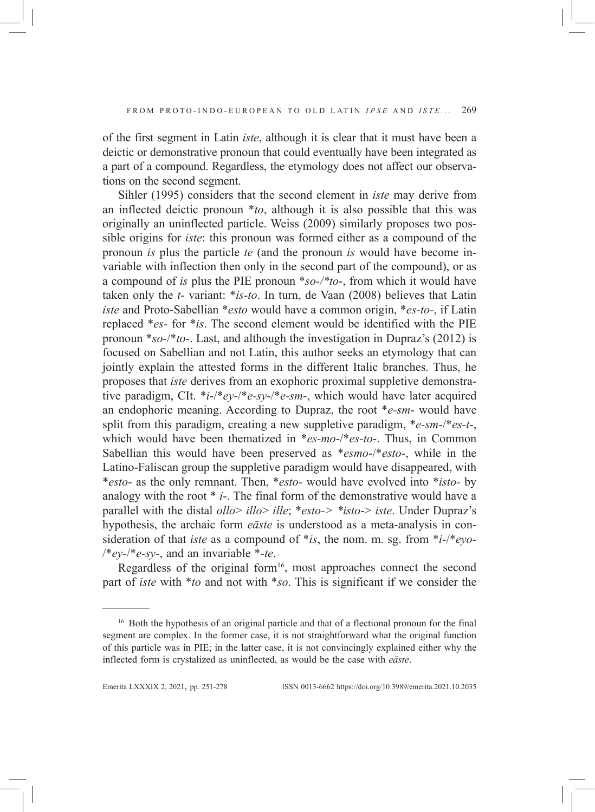of the first segment in Latin *iste*, although it is clear that it must have been a deictic or demonstrative pronoun that could eventually have been integrated as a part of a compound. Regardless, the etymology does not affect our observations on the second segment.

Sihler (1995) considers that the second element in *iste* may derive from an inflected deictic pronoun \**to*, although it is also possible that this was originally an uninflected particle. Weiss (2009) similarly proposes two possible origins for *iste*: this pronoun was formed either as a compound of the pronoun *is* plus the particle *te* (and the pronoun *is* would have become invariable with inflection then only in the second part of the compound), or as a compound of *is* plus the PIE pronoun \**so-/\*to*-, from which it would have taken only the *t*- variant: \**is-to*. In turn, de Vaan (2008) believes that Latin *iste* and Proto-Sabellian \**esto* would have a common origin, \**es-to-*, if Latin replaced \**es-* for \**is*. The second element would be identified with the PIE pronoun \**so-*/\**to-*. Last, and although the investigation in Dupraz's (2012) is focused on Sabellian and not Latin, this author seeks an etymology that can jointly explain the attested forms in the different Italic branches. Thus, he proposes that *iste* derives from an exophoric proximal suppletive demonstrative paradigm, CIt. \**i*-/\**ey*-/\**e-sy*-/\**e-sm*-, which would have later acquired an endophoric meaning. According to Dupraz, the root \**e-sm*- would have split from this paradigm, creating a new suppletive paradigm, \**e-sm*-/\**es-t*-, which would have been thematized in \**es-mo*-/\**es-to*-. Thus, in Common Sabellian this would have been preserved as \**esmo*-/\**esto*-, while in the Latino-Faliscan group the suppletive paradigm would have disappeared, with \**esto*- as the only remnant. Then, \**esto-* would have evolved into \**isto-* by analogy with the root \* *i*-. The final form of the demonstrative would have a parallel with the distal *ollo*> *illo*> *ille*; \**esto-> \*isto*-> *iste*. Under Dupraz's hypothesis, the archaic form *eāste* is understood as a meta-analysis in consideration of that *iste* as a compound of \**is*, the nom. m. sg. from \**i*-/\**eyo*- /\**ey*-/\**e-sy*-, and an invariable \**-te*.

Regardless of the original form<sup>16</sup>, most approaches connect the second part of *iste* with \**to* and not with \**so*. This is significant if we consider the

<sup>&</sup>lt;sup>16</sup> Both the hypothesis of an original particle and that of a flectional pronoun for the final segment are complex. In the former case, it is not straightforward what the original function of this particle was in PIE; in the latter case, it is not convincingly explained either why the inflected form is crystalized as uninflected, as would be the case with *eāste*.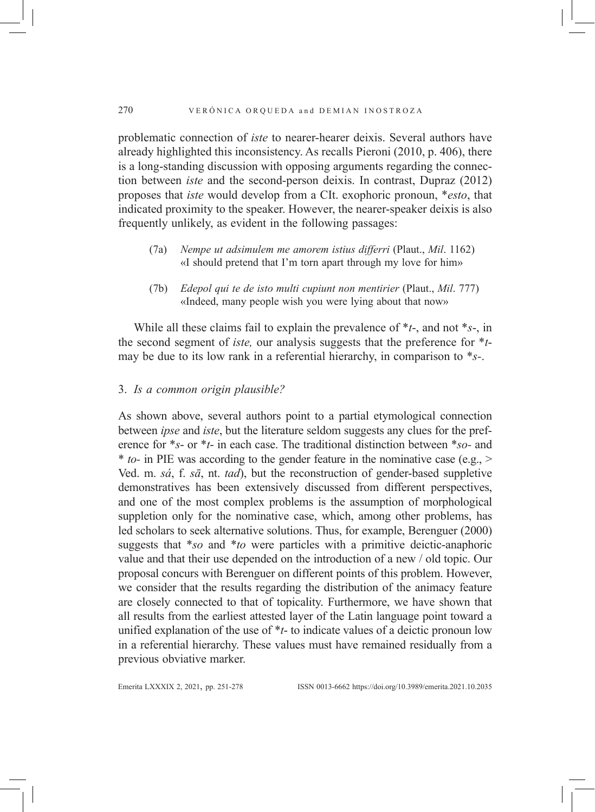problematic connection of *iste* to nearer-hearer deixis. Several authors have already highlighted this inconsistency. As recalls Pieroni (2010, p. 406), there is a long-standing discussion with opposing arguments regarding the connection between *iste* and the second-person deixis. In contrast, Dupraz (2012) proposes that *iste* would develop from a CIt. exophoric pronoun, \**esto*, that indicated proximity to the speaker. However, the nearer-speaker deixis is also frequently unlikely, as evident in the following passages:

- (7a) *Nempe ut adsimulem me amorem istius differri* (Plaut., *Mil*. 1162) «I should pretend that I'm torn apart through my love for him»
- (7b) *Edepol qui te de isto multi cupiunt non mentirier* (Plaut., *Mil*. 777) «Indeed, many people wish you were lying about that now»

While all these claims fail to explain the prevalence of \**t*-, and not \**s*-, in the second segment of *iste,* our analysis suggests that the preference for \**t*may be due to its low rank in a referential hierarchy, in comparison to \**s-*.

## 3. *Is a common origin plausible?*

As shown above, several authors point to a partial etymological connection between *ipse* and *iste*, but the literature seldom suggests any clues for the preference for \**s*- or \**t*- in each case. The traditional distinction between \**so-* and \* *to-* in PIE was according to the gender feature in the nominative case (e.g., > Ved. m. *sá*, f. *sā*, nt. *tad*), but the reconstruction of gender-based suppletive demonstratives has been extensively discussed from different perspectives, and one of the most complex problems is the assumption of morphological suppletion only for the nominative case, which, among other problems, has led scholars to seek alternative solutions. Thus, for example, Berenguer (2000) suggests that \**so* and \**to* were particles with a primitive deictic-anaphoric value and that their use depended on the introduction of a new / old topic. Our proposal concurs with Berenguer on different points of this problem. However, we consider that the results regarding the distribution of the animacy feature are closely connected to that of topicality. Furthermore, we have shown that all results from the earliest attested layer of the Latin language point toward a unified explanation of the use of \**t*- to indicate values of a deictic pronoun low in a referential hierarchy. These values must have remained residually from a previous obviative marker.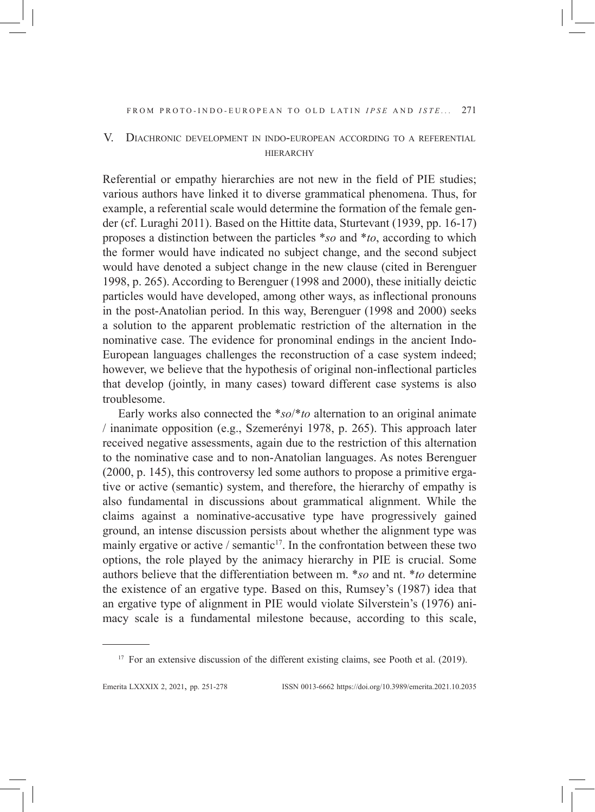# V. Diachronic development in indo-european according to a referential **HIERARCHY**

Referential or empathy hierarchies are not new in the field of PIE studies; various authors have linked it to diverse grammatical phenomena. Thus, for example, a referential scale would determine the formation of the female gender (cf. Luraghi 2011). Based on the Hittite data, Sturtevant (1939, pp. 16-17) proposes a distinction between the particles \**so* and \**to*, according to which the former would have indicated no subject change, and the second subject would have denoted a subject change in the new clause (cited in Berenguer 1998, p. 265). According to Berenguer (1998 and 2000), these initially deictic particles would have developed, among other ways, as inflectional pronouns in the post-Anatolian period. In this way, Berenguer (1998 and 2000) seeks a solution to the apparent problematic restriction of the alternation in the nominative case. The evidence for pronominal endings in the ancient Indo-European languages challenges the reconstruction of a case system indeed; however, we believe that the hypothesis of original non-inflectional particles that develop (jointly, in many cases) toward different case systems is also troublesome.

Early works also connected the \**so*/\**to* alternation to an original animate / inanimate opposition (e.g., Szemerényi 1978, p. 265). This approach later received negative assessments, again due to the restriction of this alternation to the nominative case and to non-Anatolian languages. As notes Berenguer (2000, p. 145), this controversy led some authors to propose a primitive ergative or active (semantic) system, and therefore, the hierarchy of empathy is also fundamental in discussions about grammatical alignment. While the claims against a nominative-accusative type have progressively gained ground, an intense discussion persists about whether the alignment type was mainly ergative or active  $/$  semantic<sup>17</sup>. In the confrontation between these two options, the role played by the animacy hierarchy in PIE is crucial. Some authors believe that the differentiation between m. \**so* and nt. \**to* determine the existence of an ergative type. Based on this, Rumsey's (1987) idea that an ergative type of alignment in PIE would violate Silverstein's (1976) animacy scale is a fundamental milestone because, according to this scale,

<sup>&</sup>lt;sup>17</sup> For an extensive discussion of the different existing claims, see Pooth et al. (2019).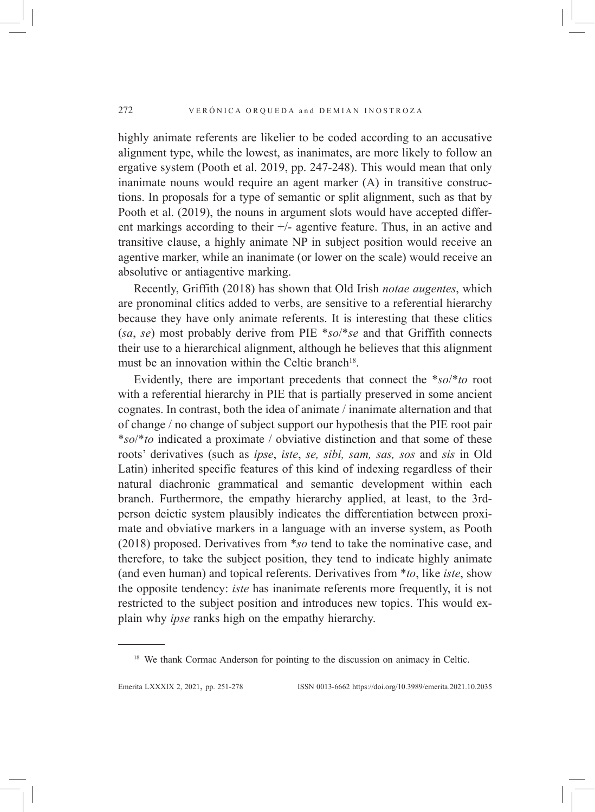highly animate referents are likelier to be coded according to an accusative alignment type, while the lowest, as inanimates, are more likely to follow an ergative system (Pooth et al. 2019, pp. 247-248). This would mean that only inanimate nouns would require an agent marker (A) in transitive constructions. In proposals for a type of semantic or split alignment, such as that by Pooth et al. (2019), the nouns in argument slots would have accepted different markings according to their +/- agentive feature. Thus, in an active and transitive clause, a highly animate NP in subject position would receive an agentive marker, while an inanimate (or lower on the scale) would receive an absolutive or antiagentive marking.

Recently, Griffith (2018) has shown that Old Irish *notae augentes*, which are pronominal clitics added to verbs, are sensitive to a referential hierarchy because they have only animate referents. It is interesting that these clitics (*sa*, *se*) most probably derive from PIE \**so*/\**se* and that Griffith connects their use to a hierarchical alignment, although he believes that this alignment must be an innovation within the Celtic branch<sup>18</sup>.

Evidently, there are important precedents that connect the \**so*/\**to* root with a referential hierarchy in PIE that is partially preserved in some ancient cognates. In contrast, both the idea of animate / inanimate alternation and that of change / no change of subject support our hypothesis that the PIE root pair \**so*/\**to* indicated a proximate / obviative distinction and that some of these roots' derivatives (such as *ipse*, *iste*, *se, sibi, sam, sas, sos* and *sis* in Old Latin) inherited specific features of this kind of indexing regardless of their natural diachronic grammatical and semantic development within each branch. Furthermore, the empathy hierarchy applied, at least, to the 3rdperson deictic system plausibly indicates the differentiation between proximate and obviative markers in a language with an inverse system, as Pooth (2018) proposed. Derivatives from \**so* tend to take the nominative case, and therefore, to take the subject position, they tend to indicate highly animate (and even human) and topical referents. Derivatives from \**to*, like *iste*, show the opposite tendency: *iste* has inanimate referents more frequently, it is not restricted to the subject position and introduces new topics. This would explain why *ipse* ranks high on the empathy hierarchy.

<sup>&</sup>lt;sup>18</sup> We thank Cormac Anderson for pointing to the discussion on animacy in Celtic.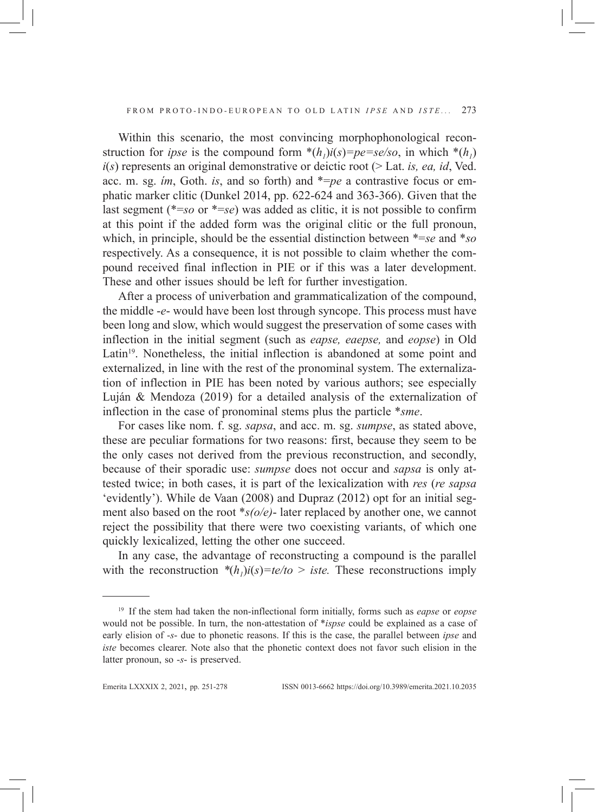Within this scenario, the most convincing morphophonological reconstruction for *ipse* is the compound form  $*(h_1)i(s)=pe=se/so$ , in which  $*(h_1)$ *i*(*s*) represents an original demonstrative or deictic root (> Lat. *is, ea, id*, Ved. acc. m. sg. *ím*, Goth. *is*, and so forth) and \*=*pe* a contrastive focus or emphatic marker clitic (Dunkel 2014, pp. 622-624 and 363-366). Given that the last segment (\*=*so* or \*=*se*) was added as clitic, it is not possible to confirm at this point if the added form was the original clitic or the full pronoun, which, in principle, should be the essential distinction between \*=*se* and \**so* respectively. As a consequence, it is not possible to claim whether the compound received final inflection in PIE or if this was a later development. These and other issues should be left for further investigation.

After a process of univerbation and grammaticalization of the compound, the middle -*e*- would have been lost through syncope. This process must have been long and slow, which would suggest the preservation of some cases with inflection in the initial segment (such as *eapse, eaepse,* and *eopse*) in Old Latin<sup>19</sup>. Nonetheless, the initial inflection is abandoned at some point and externalized, in line with the rest of the pronominal system. The externalization of inflection in PIE has been noted by various authors; see especially Luján & Mendoza (2019) for a detailed analysis of the externalization of inflection in the case of pronominal stems plus the particle \**sme*.

For cases like nom. f. sg. *sapsa*, and acc. m. sg. *sumpse*, as stated above, these are peculiar formations for two reasons: first, because they seem to be the only cases not derived from the previous reconstruction, and secondly, because of their sporadic use: *sumpse* does not occur and *sapsa* is only attested twice; in both cases, it is part of the lexicalization with *res* (*re sapsa* 'evidently'). While de Vaan (2008) and Dupraz (2012) opt for an initial segment also based on the root \**s(o/e)*- later replaced by another one, we cannot reject the possibility that there were two coexisting variants, of which one quickly lexicalized, letting the other one succeed.

In any case, the advantage of reconstructing a compound is the parallel with the reconstruction  $*(h_1)i(s) = te/to > iste$ . These reconstructions imply

<sup>19</sup> If the stem had taken the non-inflectional form initially, forms such as *eapse* or *eopse* would not be possible. In turn, the non-attestation of \**ispse* could be explained as a case of early elision of -*s*- due to phonetic reasons. If this is the case, the parallel between *ipse* and *iste* becomes clearer. Note also that the phonetic context does not favor such elision in the latter pronoun, so -*s*- is preserved.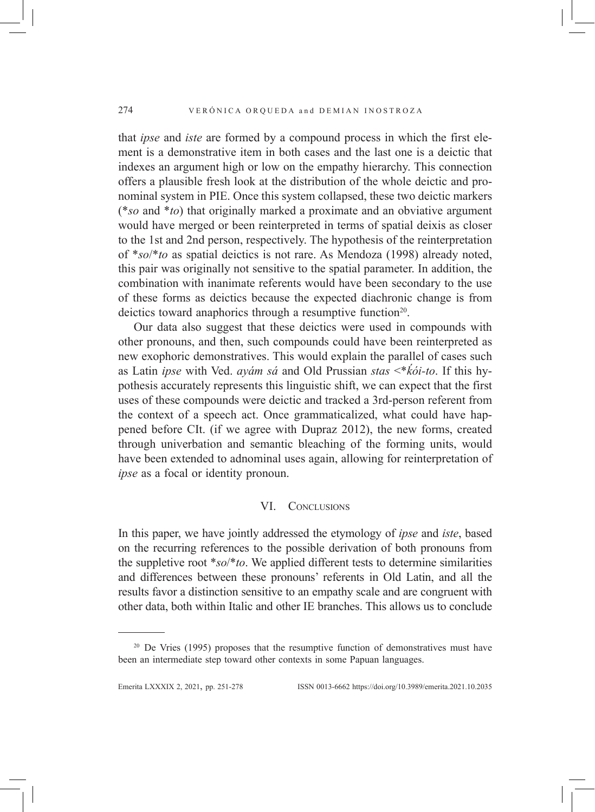that *ipse* and *iste* are formed by a compound process in which the first element is a demonstrative item in both cases and the last one is a deictic that indexes an argument high or low on the empathy hierarchy. This connection offers a plausible fresh look at the distribution of the whole deictic and pronominal system in PIE. Once this system collapsed, these two deictic markers (\**so* and \**to*) that originally marked a proximate and an obviative argument would have merged or been reinterpreted in terms of spatial deixis as closer to the 1st and 2nd person, respectively. The hypothesis of the reinterpretation of \**so*/\**to* as spatial deictics is not rare. As Mendoza (1998) already noted, this pair was originally not sensitive to the spatial parameter. In addition, the combination with inanimate referents would have been secondary to the use of these forms as deictics because the expected diachronic change is from deictics toward anaphorics through a resumptive function<sup>20</sup>.

Our data also suggest that these deictics were used in compounds with other pronouns, and then, such compounds could have been reinterpreted as new exophoric demonstratives. This would explain the parallel of cases such as Latin *ipse* with Ved. *ayám sá* and Old Prussian *stas* <\**ḱói-to*. If this hypothesis accurately represents this linguistic shift, we can expect that the first uses of these compounds were deictic and tracked a 3rd-person referent from the context of a speech act. Once grammaticalized, what could have happened before CIt. (if we agree with Dupraz 2012), the new forms, created through univerbation and semantic bleaching of the forming units, would have been extended to adnominal uses again, allowing for reinterpretation of *ipse* as a focal or identity pronoun.

# VI. Conclusions

In this paper, we have jointly addressed the etymology of *ipse* and *iste*, based on the recurring references to the possible derivation of both pronouns from the suppletive root \**so*/\**to*. We applied different tests to determine similarities and differences between these pronouns' referents in Old Latin, and all the results favor a distinction sensitive to an empathy scale and are congruent with other data, both within Italic and other IE branches. This allows us to conclude

<sup>&</sup>lt;sup>20</sup> De Vries (1995) proposes that the resumptive function of demonstratives must have been an intermediate step toward other contexts in some Papuan languages.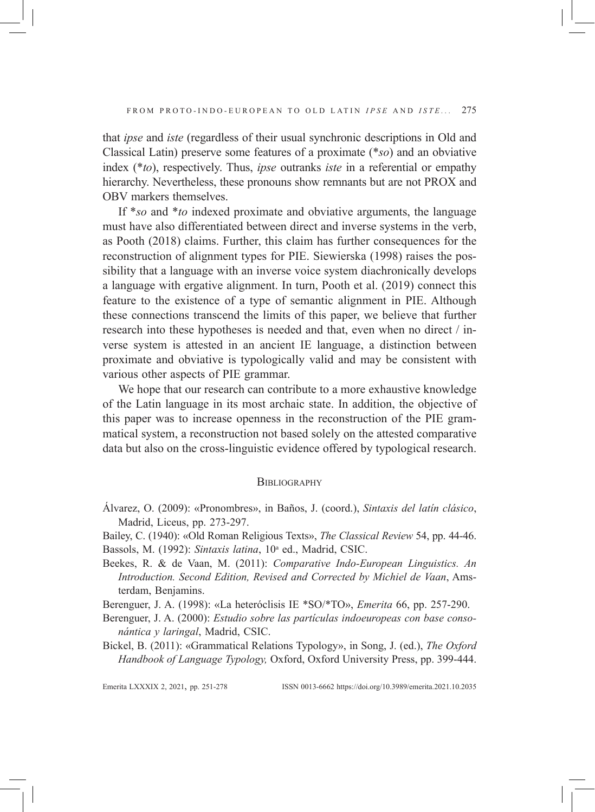that *ipse* and *iste* (regardless of their usual synchronic descriptions in Old and Classical Latin) preserve some features of a proximate (\**so*) and an obviative index (\**to*), respectively. Thus, *ipse* outranks *iste* in a referential or empathy hierarchy. Nevertheless, these pronouns show remnants but are not PROX and OBV markers themselves.

If \**so* and \**to* indexed proximate and obviative arguments, the language must have also differentiated between direct and inverse systems in the verb, as Pooth (2018) claims. Further, this claim has further consequences for the reconstruction of alignment types for PIE. Siewierska (1998) raises the possibility that a language with an inverse voice system diachronically develops a language with ergative alignment. In turn, Pooth et al. (2019) connect this feature to the existence of a type of semantic alignment in PIE. Although these connections transcend the limits of this paper, we believe that further research into these hypotheses is needed and that, even when no direct / inverse system is attested in an ancient IE language, a distinction between proximate and obviative is typologically valid and may be consistent with various other aspects of PIE grammar.

We hope that our research can contribute to a more exhaustive knowledge of the Latin language in its most archaic state. In addition, the objective of this paper was to increase openness in the reconstruction of the PIE grammatical system, a reconstruction not based solely on the attested comparative data but also on the cross-linguistic evidence offered by typological research.

#### **BIBLIOGRAPHY**

- Álvarez, O. (2009): «Pronombres», in Baños, J. (coord.), *Sintaxis del latín clásico*, Madrid, Liceus, pp. 273-297.
- Bailey, C. (1940): «Old Roman Religious Texts», *The Classical Review* 54, pp. 44-46.
- Bassols, M. (1992): Sintaxis latina, 10<sup>ª</sup> ed., Madrid, CSIC.
- Beekes, R. & de Vaan, M. (2011): *Comparative Indo-European Linguistics. An Introduction. Second Edition, Revised and Corrected by Michiel de Vaan*, Amsterdam, Benjamins.

Berenguer, J. A. (1998): «La heteróclisis IE \*SO/\*TO», *Emerita* 66, pp. 257-290.

Berenguer, J. A. (2000): *Estudio sobre las partículas indoeuropeas con base consonántica y laringal*, Madrid, CSIC.

Bickel, B. (2011): «Grammatical Relations Typology», in Song, J. (ed.), *The Oxford Handbook of Language Typology,* Oxford, Oxford University Press, pp. 399-444.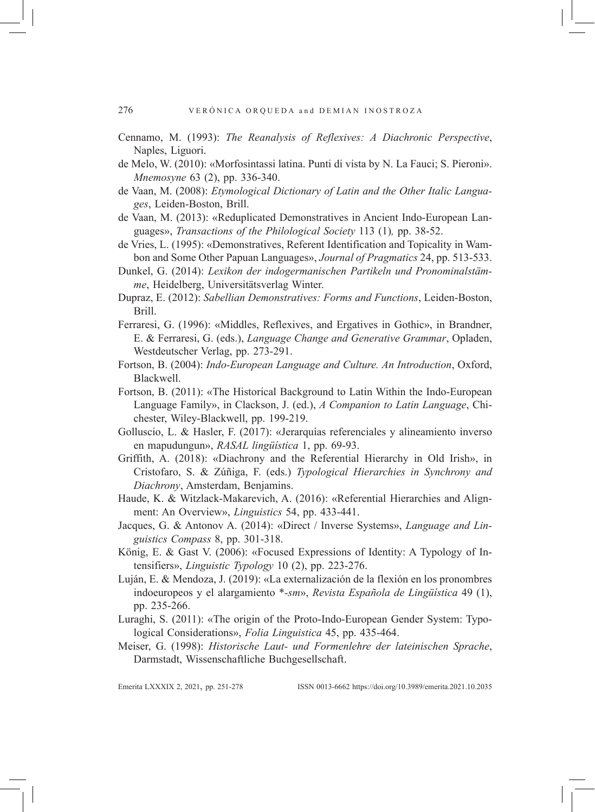- Cennamo, M. (1993): *The Reanalysis of Reflexives: A Diachronic Perspective*, Naples, Liguori.
- de Melo, W. (2010): «Morfosintassi latina. Punti di vista by N. La Fauci; S. Pieroni». *Mnemosyne* 63 (2), pp. 336-340.
- de Vaan, M. (2008): *Etymological Dictionary of Latin and the Other Italic Languages*, Leiden-Boston, Brill.
- de Vaan, M. (2013): «Reduplicated Demonstratives in Ancient Indo-European Languages», *Transactions of the Philological Society* 113 (1)*,* pp. 38-52.
- de Vries, L. (1995): «Demonstratives, Referent Identification and Topicality in Wambon and Some Other Papuan Languages», *Journal of Pragmatics* 24, pp. 513-533.
- Dunkel, G. (2014): *Lexikon der indogermanischen Partikeln und Pronominalstämme*, Heidelberg, Universitätsverlag Winter.
- Dupraz, E. (2012): *Sabellian Demonstratives: Forms and Functions*, Leiden-Boston, Brill.
- Ferraresi, G. (1996): «Middles, Reflexives, and Ergatives in Gothic», in Brandner, E. & Ferraresi, G. (eds.), *Language Change and Generative Grammar*, Opladen, Westdeutscher Verlag, pp. 273-291.
- Fortson, B. (2004): *Indo-European Language and Culture. An Introduction*, Oxford, Blackwell.
- Fortson, B. (2011): «The Historical Background to Latin Within the Indo-European Language Family», in Clackson, J. (ed.), *A Companion to Latin Language*, Chichester, Wiley-Blackwell, pp. 199-219.
- Golluscio, L. & Hasler, F. (2017): «Jerarquías referenciales y alineamiento inverso en mapudungun», *RASAL lingüística* 1, pp. 69-93.
- Griffith, A. (2018): «Diachrony and the Referential Hierarchy in Old Irish», in Cristofaro, S. & Zúñiga, F. (eds.) *Typological Hierarchies in Synchrony and Diachrony*, Amsterdam, Benjamins.
- Haude, K. & Witzlack-Makarevich, A. (2016): «Referential Hierarchies and Alignment: An Overview», *Linguistics* 54, pp. 433-441.
- Jacques, G. & Antonov A. (2014): «Direct / Inverse Systems», *Language and Linguistics Compass* 8, pp. 301-318.
- König, E. & Gast V. (2006): «Focused Expressions of Identity: A Typology of Intensifiers», *Linguistic Typology* 10 (2), pp. 223-276.
- Luján, E. & Mendoza, J. (2019): «La externalización de la flexión en los pronombres indoeuropeos y el alargamiento \**-sm*», *Revista Española de Lingüística* 49 (1), pp. 235-266.
- Luraghi, S. (2011): «The origin of the Proto-Indo-European Gender System: Typological Considerations», *Folia Linguistica* 45, pp. 435-464.
- Meiser, G. (1998): *Historische Laut- und Formenlehre der lateinischen Sprache*, Darmstadt, Wissenschaftliche Buchgesellschaft.

Emerita LXXXIx 2, 2021, pp. 251-278 ISSN 0013-6662 https://doi.org/10.3989/emerita.2021.10.2035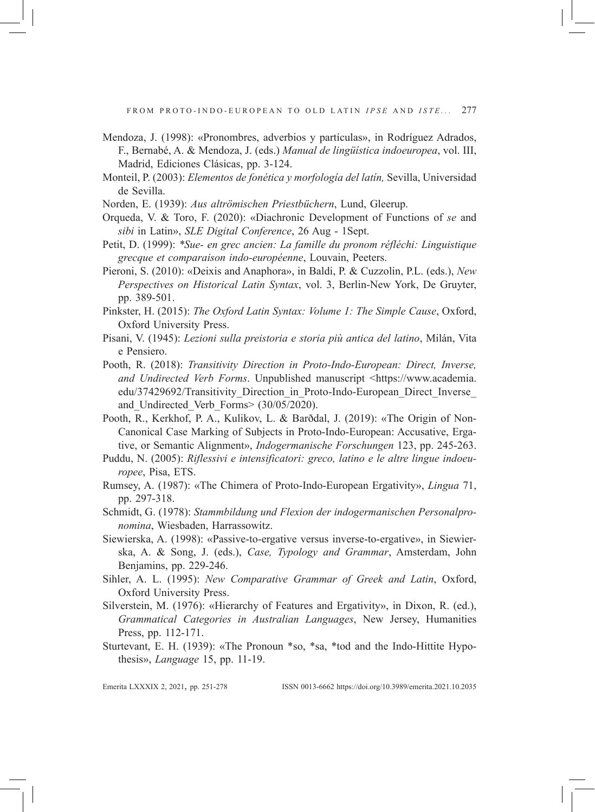- Mendoza, J. (1998): «Pronombres, adverbios y partículas», in Rodríguez Adrados, F., Bernabé, A. & Mendoza, J. (eds.) *Manual de lingüística indoeuropea*, vol. III, Madrid, Ediciones Clásicas, pp. 3-124.
- Monteil, P. (2003): *Elementos de fonética y morfología del latín,* Sevilla, Universidad de Sevilla.
- Norden, E. (1939): *Aus altrömischen Priestbüchern*, Lund, Gleerup.
- Orqueda, V. & Toro, F. (2020): «Diachronic Development of Functions of *se* and *sibi* in Latin», *SLE Digital Conference*, 26 Aug - 1Sept.
- Petit, D. (1999): *\*Sue- en grec ancien: La famille du pronom réfléchi: Linguistique grecque et comparaison indo-européenne*, Louvain, Peeters.
- Pieroni, S. (2010): «Deixis and Anaphora», in Baldi, P. & Cuzzolin, P.L. (eds.), *New Perspectives on Historical Latin Syntax*, vol. 3, Berlin-New York, De Gruyter, pp. 389-501.
- Pinkster, H. (2015): *The Oxford Latin Syntax: Volume 1: The Simple Cause*, Oxford, Oxford University Press.
- Pisani, V. (1945): *Lezioni sulla preistoria e storia più antica del latino*, Milán, Vita e Pensiero.
- Pooth, R. (2018): *Transitivity Direction in Proto-Indo-European: Direct, Inverse,*  and Undirected Verb Forms. Unpublished manuscript <https://www.academia. edu/37429692/Transitivity\_Direction\_in\_Proto-Indo-European\_Direct\_Inverse and Undirected Verb Forms> (30/05/2020).
- Pooth, R., Kerkhof, P. A., Kulikov, L. & Barðdal, J. (2019): «The Origin of Non-Canonical Case Marking of Subjects in Proto-Indo-European: Accusative, Ergative, or Semantic Alignment», *Indogermanische Forschungen* 123, pp. 245-263.
- Puddu, N. (2005): *Riflessivi e intensificatori: greco, latino e le altre lingue indoeuropee*, Pisa, ETS.
- Rumsey, A. (1987): «The Chimera of Proto-Indo-European Ergativity», *Lingua* 71, pp. 297-318.
- Schmidt, G. (1978): *Stammbildung und Flexion der indogermanischen Personalpronomina*, Wiesbaden, Harrassowitz.
- Siewierska, A. (1998): «Passive-to-ergative versus inverse-to-ergative», in Siewierska, A. & Song, J. (eds.), *Case, Typology and Grammar*, Amsterdam, John Benjamins, pp. 229-246.
- Sihler, A. L. (1995): *New Comparative Grammar of Greek and Latin*, Oxford, Oxford University Press.
- Silverstein, M. (1976): «Hierarchy of Features and Ergativity», in Dixon, R. (ed.), *Grammatical Categories in Australian Languages*, New Jersey, Humanities Press, pp. 112-171.
- Sturtevant, E. H. (1939): «The Pronoun \*so, \*sa, \*tod and the Indo-Hittite Hypothesis», *Language* 15, pp. 11-19.